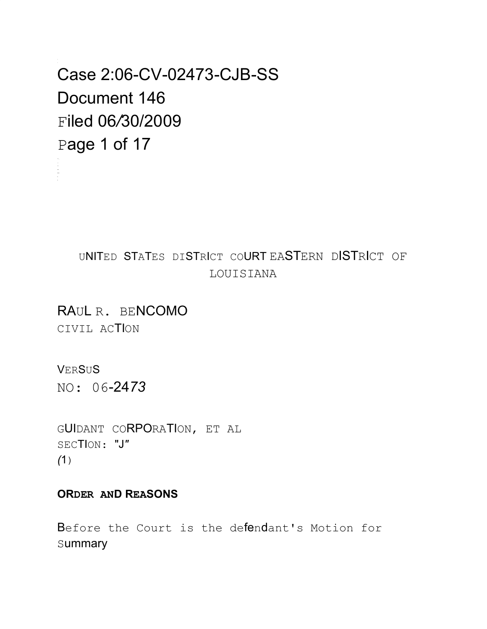Case 2:06-CV-02473-CJB-SS Document 146 Filed 06/30/2009 Page 1 of 17

#### UNITED STATES DISTRICT COURT EASTERN DISTRICT OF LOUISIANA

RAUL R. BENCOMO CIVIL ACTION

VERSUS

NO: 06-2473

GUIDANT CORPORATION, ET AL SECTION: "J"  $(1)$ 

#### **ORDER AND REASONS**

Before the Court is the defendant's Motion for summary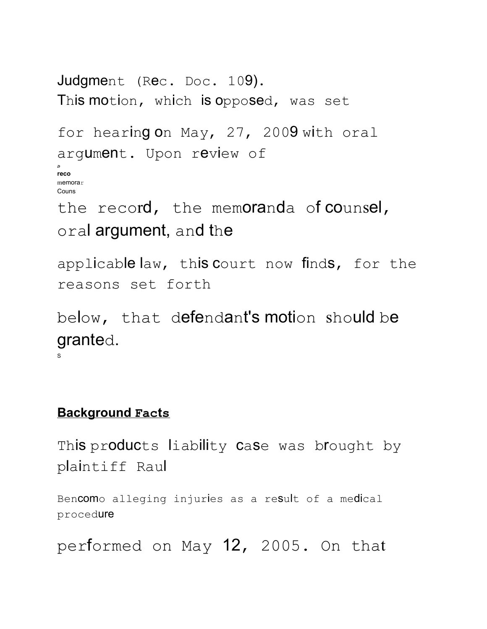```
Judgment (Rec. Doc. 109).
This motion, which is opposed, was set
for hearing on May, 27, 2009 with oral
argument. Upon review of
D
reco
memorar
Couns
the record, the memoranda of counsel,
oral argument, and the
```
applicable law, this court now finds, for the reasons set forth

below, that defendant's motion should be granted. S

#### **Background Facts**

This products liability case was brought by plaintiff Raul

Bencomo alleging injuries as a result of a medical procedure

performed on May 12, 2005. On that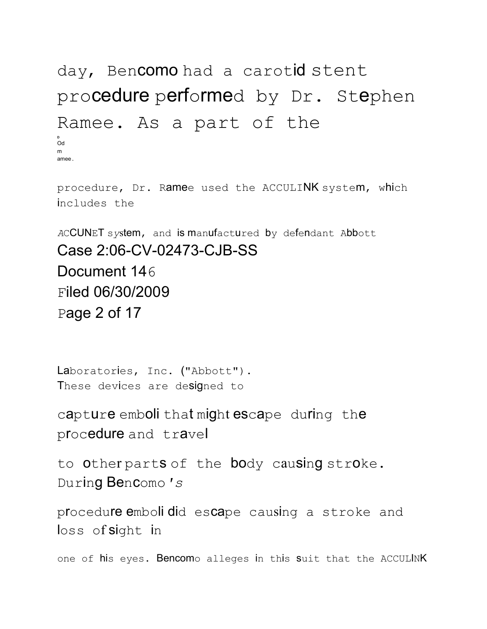# day, Bencomo had a carotid stent procedure performed by Dr. Stephen Ramee. As a part of the Od amee

procedure, Dr. Ramee used the ACCULINK system, which includes the

ACCUNET system, and is manufactured by defendant Abbott Case 2:06-CV-02473-CJB-SS Document 146 Filed 06/30/2009 Page 2 of 17

Laboratories, Inc. ("Abbott"). These devices are designed to

capture emboli that might escape during the procedure and travel

to Other parts of the body causing stroke. During Bencomo's

procedure emboli did escape causing a stroke and loss of sight in

one of his eyes. Bencomo alleges in this suit that the ACCULINK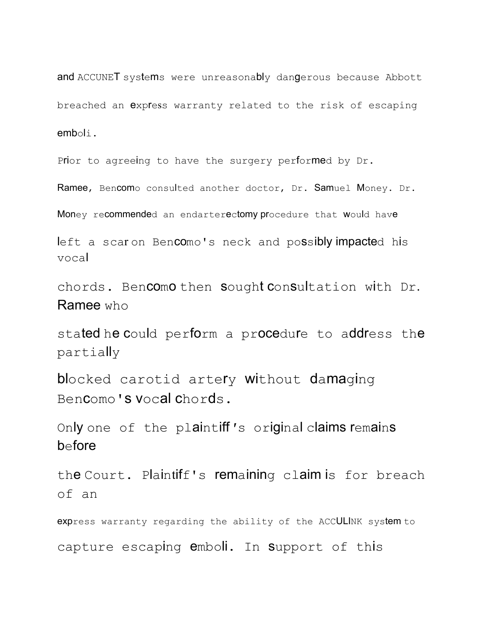and ACCUNET systems were unreasonably dangerous because Abbott breached an expless warranty related to the risk of escaping emboli.

Prior to agreeing to have the surgery performed by Dr.

Ramee, Bencomo consulted another doctor, Dr. Samuel Money. Dr.

Money recommended an endarterectomy procedure that would have

left a scar on Bencomo's neck and possibly impacted his vocal

chords. Bencomo then sought consultation with Dr. Ramee who

stated he could perform a procedure to address the partially

blocked carotid artery without damaging Bencomo's vocal chords.

Only one of the plaintiff*'*s original claims remains before

the Court. Plaintiff's remaining claim is for breach of an

express warranty regarding the ability of the ACCULINK system to capture escaping emboli. In Support of this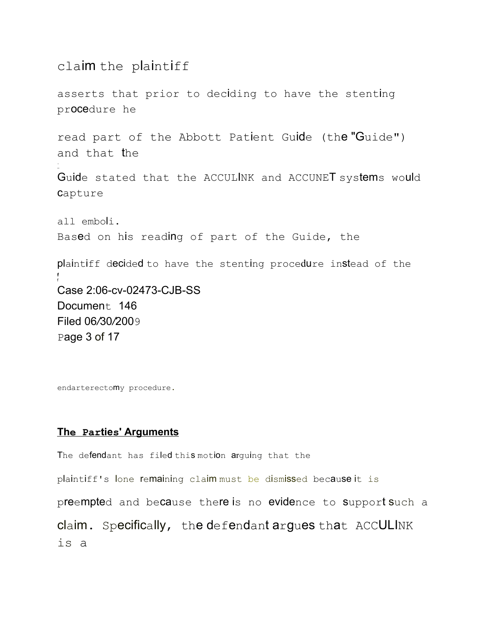#### claim the plaintiff

- --

asserts that prior to deciding to have the stenting procedure he

read part of the Abbott Patient Guide (the "Guide") and that the

Guide stated that the ACCULINK and ACCUNET systems would capture

all emboli. Based on his reading of part of the Guide, the

plaintiff decided to have the stenting procedure instead of the **f** f Case 2:06-cv-02473-CJB-SS Document 146 Filed 06*/*30*/*2009 Page 3 of 17

endarterectomy procedure.

#### **The Parties' Arguments**

The defendant has filed this motion arguing that the

plaintiff's lone remaining claim must be dismissed because it is

preempted and because there is no evidence to support such a

claim. Specifically, the defendant argues that ACCULINK is a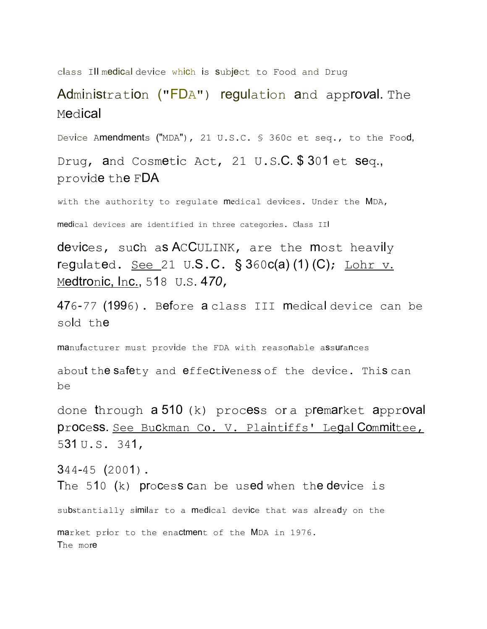class Ill medical device which is subject to Food and Drug

#### Administration ("FDA") regulation and appro*v*al. The Medical

Device Amendments ("MDA"), 21 U.S.C. § 360c et seq., to the Food,

Drug, and Cosmetic Act, 21 U.S.C. \$ 301 et seq., provide the FDA

*w*ith the authority to regulate medical devices. Under the MDA,

medical devices are identified in three categories. Class III

devices, such as ACCULINK, are the most heavily regulated.  $See 21 U.S.C. §  $360c(a)$  (1) (C); Lohr v.$ </u> Medtronic, Inc., 518 U.S. 4*70*,

476*-77* (1996). Before a class III medical device can be sold the

manufacturer must provide the FDA with reasonable assurances

about the safety and effectiveness of the device. This can be

done through a 510 (k) process or a premarket approval process. See Buckman Co. V. Plaintiffs' Legal Committee, 531 U.S. 341,

344-45 (2001). The 510  $(k)$  process can be used when the device is substantially similar to a medical device that was already on the market prior to the enactment of the MDA in 1976. The more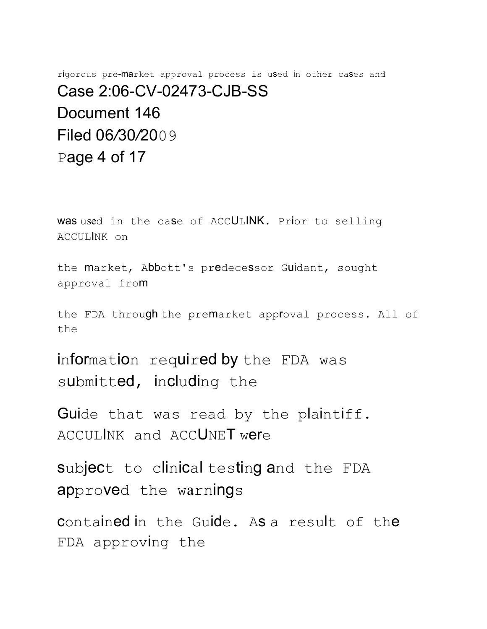rigorous pre-market approval process is used in other cases and Case 2:06-CV-02473-CJB-SS Document 146 Filed 06*/*30*/*2009 Page 4 of 17

was used in the case of ACCULINK. Prior to selling ACCULINK on

the market, Abbott's predecessor Guidant, sought approval from

the FDA through the premarket approval process. All of the

information required by the FDA was submitted, including the

Guide that was read by the plaintiff. ACCULINK and ACCUNET were

subject to clinical testing and the FDA approved the warnings

contained in the Guide. As a result of the FDA approving the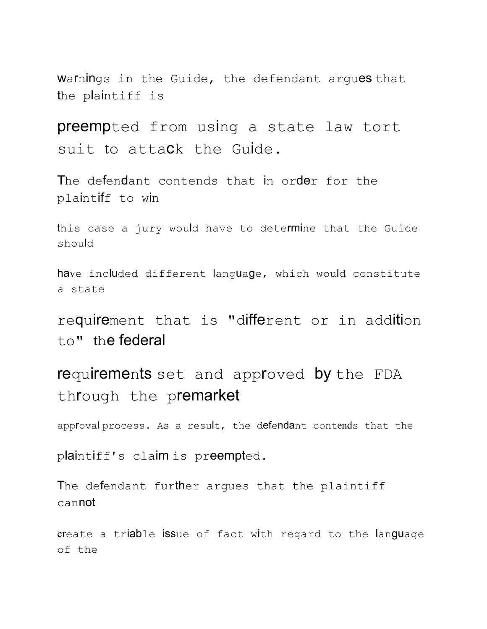Warnings in the Guide, the defendant argues that the plaintiff is

preempted from using a state law tort suit to attack the Guide.

The defendant contends that in order for the plaintiff to win

this case a jury would have to determine that the Guide should

have included different language, which would constitute a state

requirement that is "different or in addition to" the federal

requirements set and approved by the FDA through the premarket

approval process. As a result, the defendant contends that the

plaintiff's claim is preempted.

The defendant further arques that the plaintiff cannot

create a triable issue of fact with regard to the language of the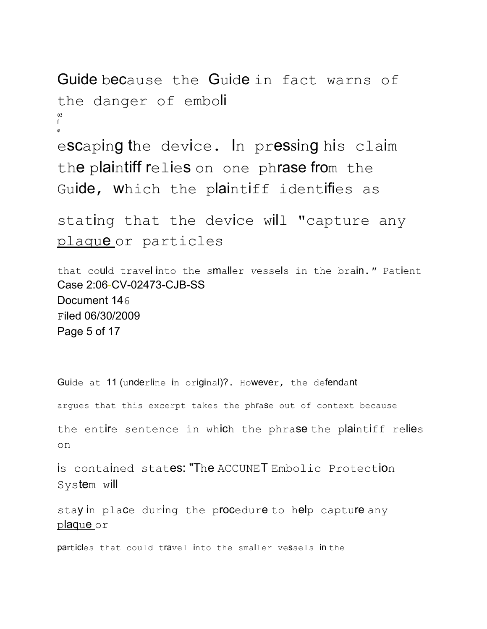```
Guide because the Guide in fact warns of
the danger of emboli
02
f
e
escaping the device. In pressing his claim
the plaintiff relies on one phrase from the
Guide, which the plaintiff identifies as
```

```
stating that the device will "capture any
plague or particles
```
that could travel into the smaller *v*essels in the brain.*"* Patient Case 2:06-CV-02473-CJB-SS Document 146 Filed 06/30/2009 Page 5 of 17

Guide at 11 (underline in original)?. However, the defendant

argues that this excerpt takes the phrase out of context because

the entire sentence in which the phrase the plaintiff relies on

is contained states: "The ACCUNET Embolic Protection System will

stay in place during the procedure to help capture any plaque or

particles that could travel into the smaller vessels in the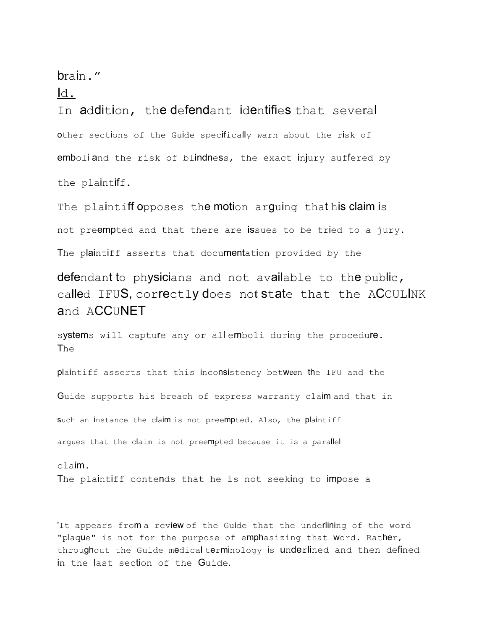brain."

#### Id.

In addition, the defendant identifies that several other sections of the Guide specifically *w*arn about the risk of emboli and the risk of blindness, the exact injury suffered by the plaintiff.

The plaintiff opposes the motion arguing that his claim is not preempted and that there are issues to be tried to a jury. The plaintiff asserts that documentation provided by the

defendant to physicians and not available to the public, called IFUS, correctly does not state that the ACCULINK and **ACCUNET** 

systems will capture any or allemboli during the procedure. The

plaintiff asserts that this inconsistency between the IFU and the

Guide supports his breach of express warranty claim and that in

such an instance the claim is not preempted. Also, the plaintiff

argues that the claim is not preempted because it is a parallel

claim. The plaintiff contends that he is not seeking to impose a

'It appears from a review of the Guide that the underlining of the word "plaque" is not for the purpose of emphasizing that word. Rather, throughout the Guide medical terminology is underlined and then defined in the last section of the Guide.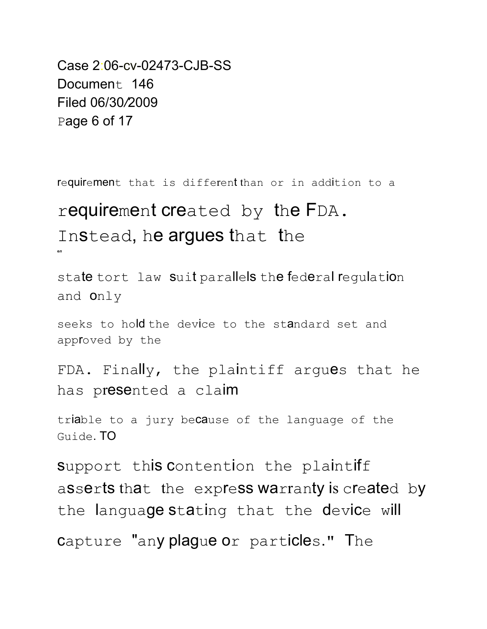Case 2:06-cv-02473-CJB-SS Document 146 Filed 06/30*/*2009 Page 6 of 17

requirement that is different than or in addition to a

### requirement created by the FDA. Instead, he argues that the **e***n*

state tort law suit parallels the federal regulation and only

seeks to hold the device to the standard set and approved by the

FDA. Finally, the plaintiff argues that he has presented a claim

triable to a jury because of the language of the Guide. TO

support this contention the plaintiff asserts that the express warranty is created by the language stating that the device will capture "any plague or particles." The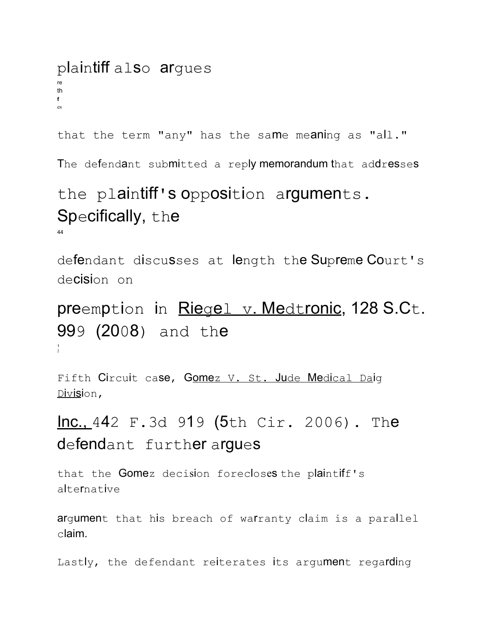### plaintiff also argues th  $f$

that the term "any" has the same meaning as "all."

The defendant submitted a reply memorandum that addresses

# the plaintiff's opposition arguments. Specifically, the

defendant discusses at length the Supreme Court's de**cisi**on on

preemption in Riegel v. Medtronic, 128 S.Ct. 999 (2008) and the

Fifth Circuit case, Gomez V. St. Jude Medical Daig Division,

## Inc., 442 F.3d 919 (5th Cir. 2006). The defendant further argues

that the Gomez decision forecloses the plaintiff's alternative

argument that his breach of warranty claim is a parallel  $claim.$ 

Lastly, the defendant reiterates its argument regarding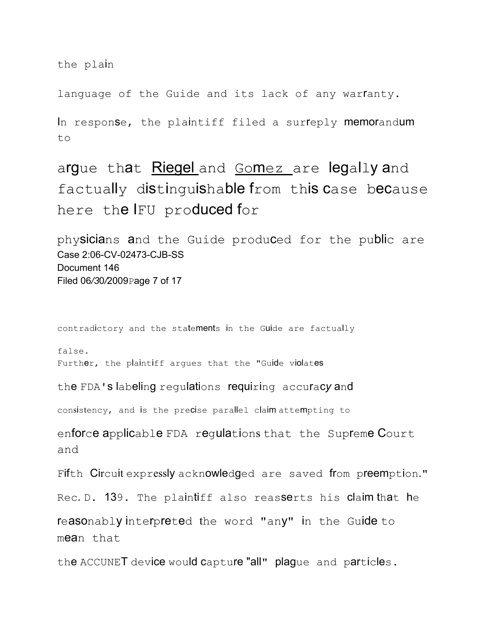the plain

language of the Guide and its lack of any warfanty.

In response, the plaintiff filed a surreply memorandum to

argue that Riegel and Gomez are legally and factually distinguishable from this case because here the IFU produced for

physicians and the Guide produced for the public are Case 2:06-CV-02473-CJB-SS Document 146 Filed 06*/3*0*/*2009Page 7 of 17

contradictory and the statements in the Guide are factually

false. Further, the plaintiff argues that the "Guide violates

the FDA's labeling regulations requiring accurac*y* and

consistency, and is the precise parallel claim attempting to

enforce applicable FDA regulations that the Supreme Court and

Fifth Circuit expressly acknowledged are saved from preemption."

Rec. D. 139. The plaintiff also reasserts his claim that he

reasonably interpreted the word "any" in the Guide to mean that

the ACCUNET device would capture "all" plague and particles.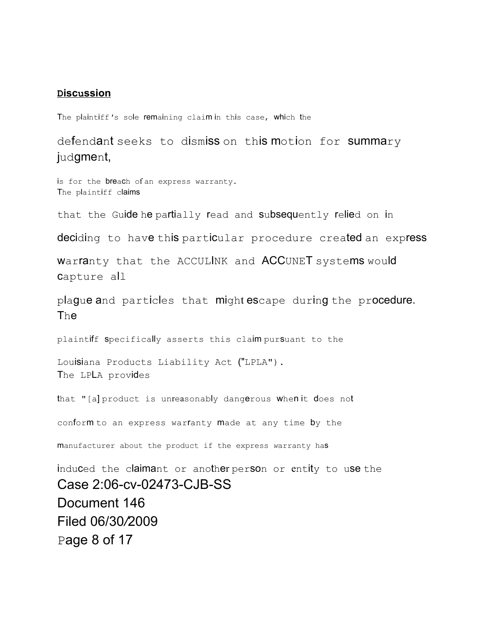#### **Discussion**

The plaintiff*'*s sole remaining claim in this case, which the

defendant seeks to dismiss on this motion for summary judgment,

is for the **breac**h of an express warranty. The plaintiff claims

that the Guide he partially read and subsequently relied on in

deciding to have this particular procedure created an express

Warranty that the ACCULINK and ACCUNET systems would capture all

plague and particles that might escape during the procedure. The

plaintiff specifically asserts this claim pursuant to the

Louisiana Products Liability Act ("LPLA"). The LPLA provides

that "[a] product is unreasonably dangerous when it does not

conform to an express warranty made at any time by the

manufacturer about the product if the express *w*arranty has

induced the claimant or another person or entity to use the Case 2:06-cv-02473-CJB-SS Document 146 Filed 06/30*/*2009 Page 8 of 17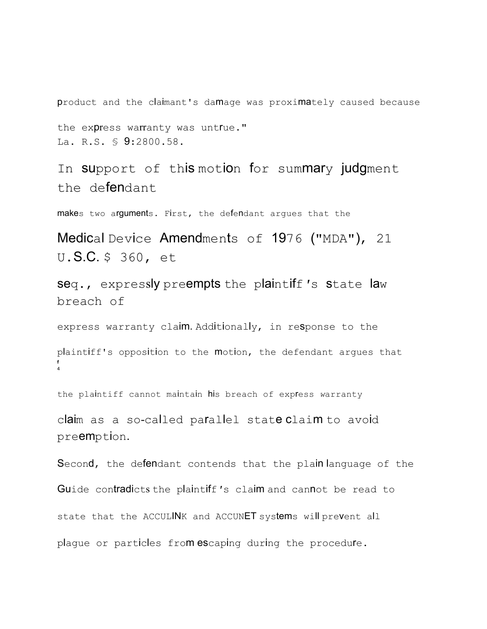product and the claimant's damage was proximately caused because

the express warranty was untrue." La. R.S. § 9:2800.58.

In support of this motion for summary judgment the defendant

makes two arguments. First, the defendant argues that the

Medical Device Amendments of 1976 ("MDA"), 21 U.S.C. \$ 360, et

seq., expressly preempts the plaintiff*'*s state law breach of

express warranty claim. Additionally, in response to the

plaintiff's opposition to the motion, the defendant argues that **f** 4

the plaintiff cannot maintain his breach of express *w*arranty

claim as a so-called parallel state claim to avoid preemption.

Second, the defendant contends that the plain language of the Guide contradicts the plaintiff*'*s claim and cannot be read to state that the ACCULINK and ACCUNET systems will prevent all plague or particles from escaping during the procedure.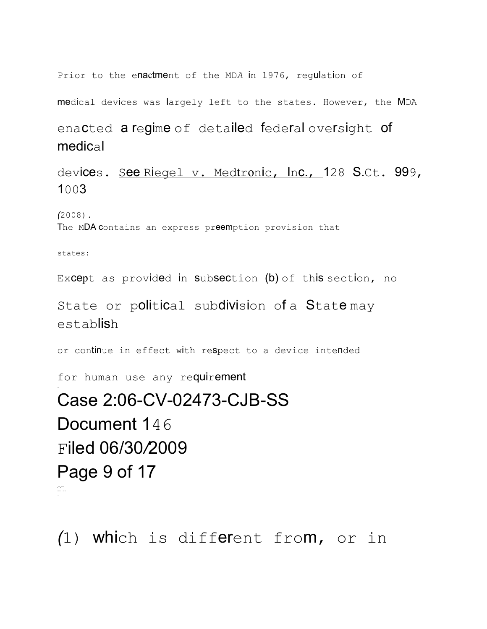Prior to the enactment of the MD*A* in 1976, regulation of

medical devices was largely left to the states. However, the MDA

enacted a regime of detailed federal oversight of medical

devices. See Riegel v. Medtronic, Inc., 128 S.Ct. 999, 1003

*(*2008).

The MDA contains an express preemption provision that

states:

-

Except as provided in subsection (b) of this section, no

State or political subdivision of a Statemay establish

or continue in effect with respect to a device intended

for human use any requirement

# Case 2:06-CV-02473-CJB-SS Document 146 Filed 06/30*/*2009 Page 9 of 17 .--.--- -- -- -

*(*1) which is different from, or in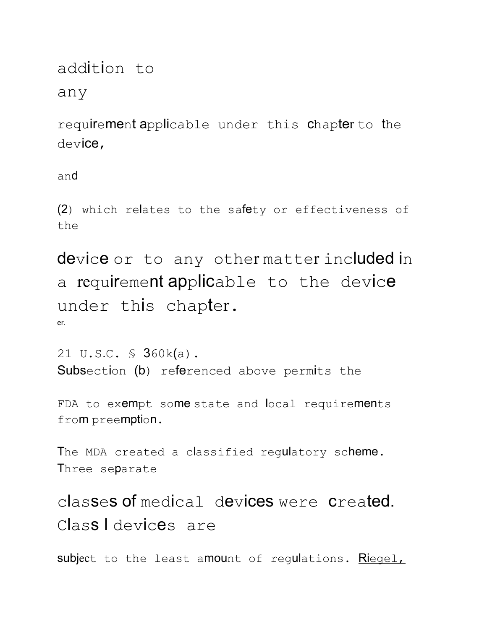# addition to

#### any

requirement applicable under this chapter to the device,

and

(2) which relates to the safety or effectiveness of the

device or to any other matter included in a requirement applicable to the device under this chapter. er.

21 U.S.C. § 360k(a). Subsection (b) referenced above permits the

FDA to exempt some state and local requirements from preemption.

The MDA created a classified regulatory scheme. Three separate

classes of medical devices were created. Class I devices are

subject to the least amount of regulations. Riegel,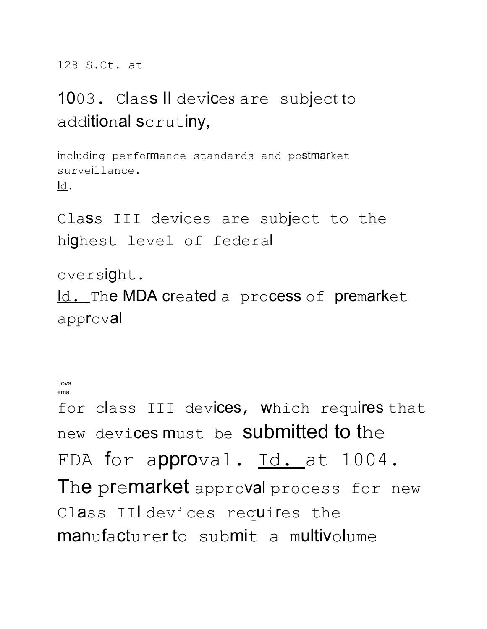128 S.Ct. at

# 1003. Class II devices are subject to additional scrutiny,

including performance standards and postmarket surveillance.  $\mathsf{Id}$ .

Class III devices are subject to the highest level of federal

oversight.

Id. The MDA created a process of premarket approval

```
fCON2ema
```
for class III devices, which requires that new devices must be **submitted to the** FDA for approval. Id. at 1004. The premarket approval process for new Class II devices requires the manufacturer to submit a multivolume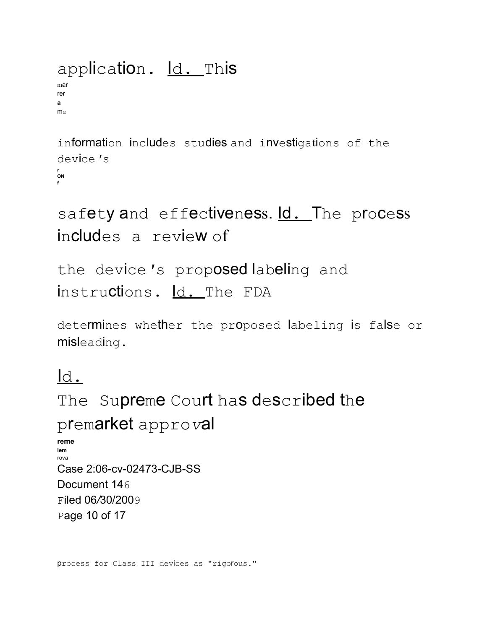## application. ld. This

mar rer a  $m \infty$ 

information includes studies and investigations of the device 's ON

```
safety and effectiveness. Id. The process
includes a review of
```
the device's proposed labeling and instructions. Id. The FDA

determines whether the proposed labeling is false or misleading.

## $\mathsf{Id}$ .

The Supreme Court has described the premarket approval reme lom  $rowa$ Case 2:06-cv-02473-CJB-SS Document 146 Filed 06/30/2009 Page 10 of 17

process for Class III devices as "rigofous."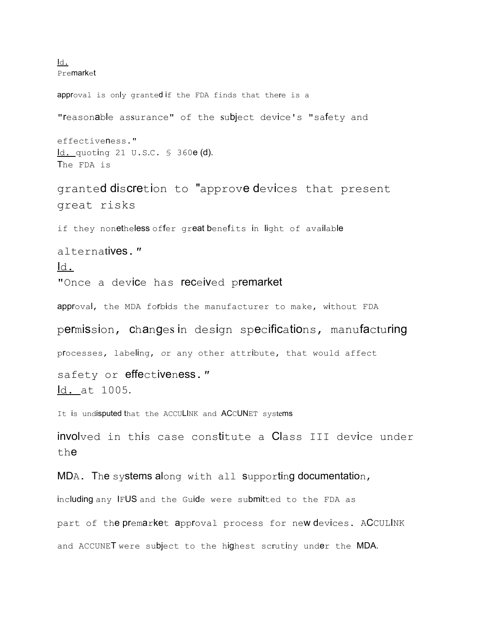Id. Premarket approval is only granted if the FDA finds that there is a "reasonable assurance" of the subject device's "safety and effectiveness." Id. quoting 21 U.S.C. § 360e (d). The FDA is granted discretion to "approve devices that present great risks if they nonetheless offer great benefits in light of available alternatives.*"* Id. "Once a device has received premarket approval, the MDA forbids the manufacturer to make, without FDA permission, changes in design specifications, manufacturing processes, labeling, *o*r any other attribute, that would affect safety or effectiveness.*"* Id. at 1005. It is undisputed that the ACCULINK and ACCUNET systems involved in this case constitute a Class III device under the MDA. The systems along with all supporting documentation, including any IFUS and the Guide were submitted to the FDA as part of the premarket approval process for new devices. ACCULINK and ACCUNET were subject to the highest scrutiny under the MDA.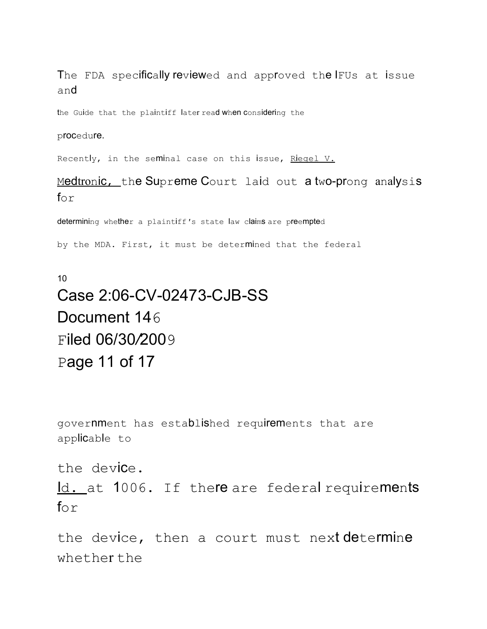The FDA specifically reviewed and approved the IFUs at issue and

the Guide that the plaintiff later read when considering the

#### procedure.

Recently, in the seminal case on this issue, Riegel V.

Medtronic, the Supreme Court laid out a two-prong analysis  $f \circ r$ 

determining whether a plaintiff*'*s state law claims are preempted

by the MDA. First, it must be determined that the federal

## 10 Case 2:06-CV-02473-CJB-SS Document 146 Filed 06/30*/*2009 Page 11 of 17

government has established requirements that are applicable to

the device.

Id. at 1006. If there are federal requirements  $f_{\Omega}r$ 

the device, then a court must next determine whether the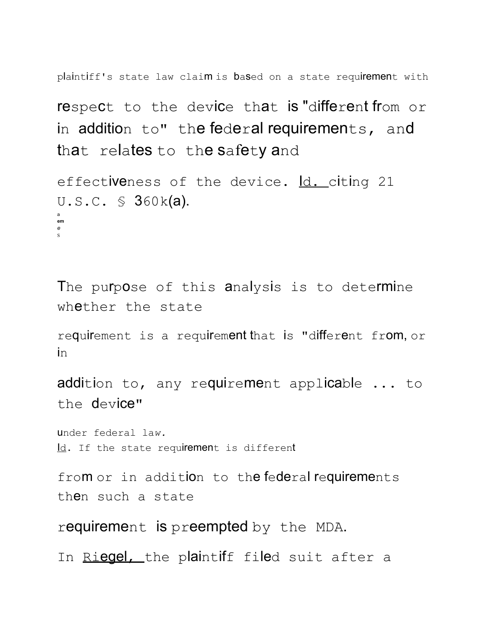plaintiff's state law claim is based on a state requirement with

respect to the device that is "different from or in addition to" the federal requirements, and that relates to the safety and

```
effectiveness of the device. Id. citing 21
U.S.C. § 360k(a).
a
em
e
S
```
The purpose of this analysis is to determine whether the state

requirement is a requirement that is "different from, or in

addition to, any requirement applicable ... to the device"

under federal la*w.*  $Id.$  If the state requirement is different

from or in addition to the federal requirements then such a state

requirement is preempted by the MDA.

In Riegel, the plaintiff filed suit after a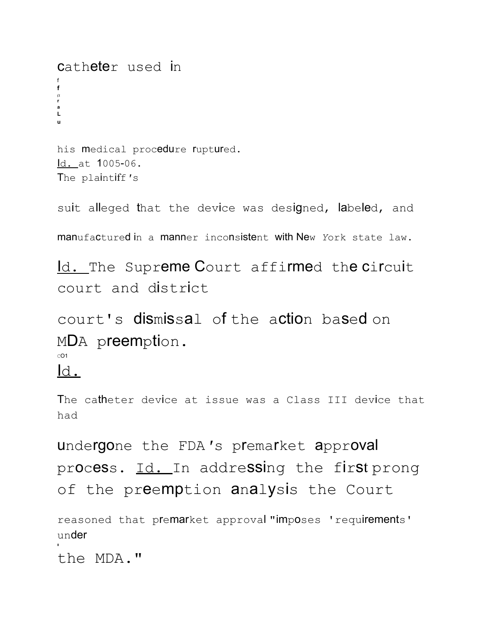Catheter used in  $f$  $\mathfrak{a}$  $\mathbf{L}$ his medical procedure fuptured. ld. at 1005-06. The plaintiff's

suit alleged that the device was designed, labeled, and

manufactured in a manner inconsistent with New York state law.

<u>ld.</u> The Supreme Court affirmed the circuit court and district

court's dismissal of the action based on MDA preemption.

 $CO1$ 

 $\overline{d}$ .

The catheter device at issue was a Class III device that had

undergone the FDA's premarket approval process. Id. In addressing the first prong of the preemption analysis the Court

reasoned that premarket approval "imposes 'requirements' under

the MDA."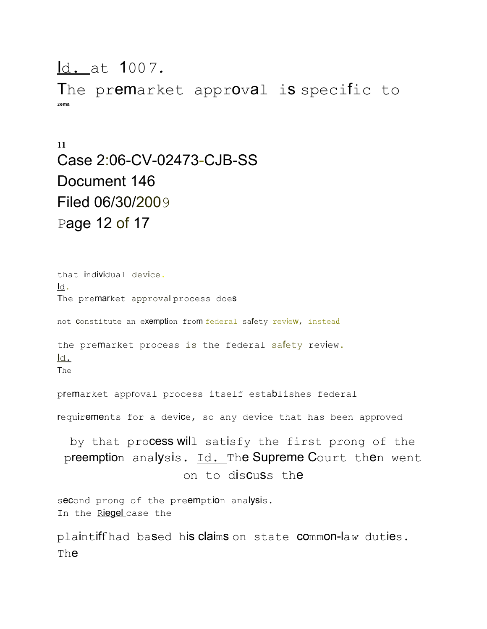#### Id. at 100*7.*

The premarket approval is specific to **rema**

### **11** Case 2:06-CV-02473-CJB-SS Document 146 Filed 06/30/2009 Page 12 of 17

that individual device. Id. The premarket approval process does not Constitute an exemption from federal safety review, instead the premarket process is the federal safety review. Id. The premarket approval process itself establishes federal requirements for a device, so any device that has been approved by that process will satisfy the first prong of the preemption analysis. Id. The Supreme Court then went on to discuss the second prong of the preemption analysis. In the Riegel case the

plaintiff had based his claims on state common-la*w* duties. The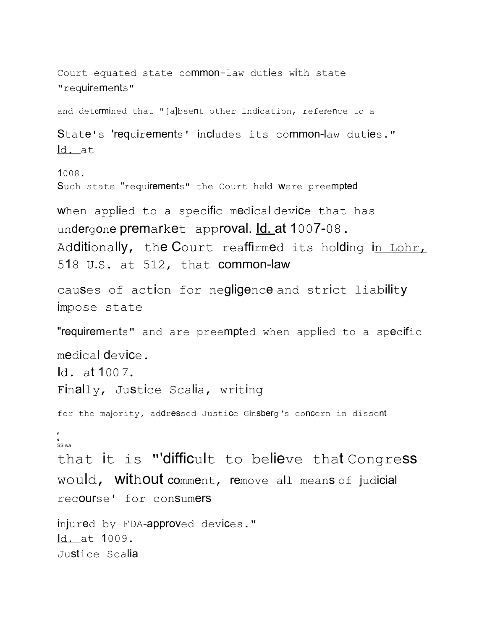Court equated state common-law duties with state "requirements"

and determined that "[a]bsent other indication, reference to a

State's 'requirements' includes its common-law duties." ld. at

 $1008.$ 

Such state "requirements" the Court held were preempted

When applied to a specific medical device that has undergone premarket approval. Id. at 1007-08. Additionally, the Court reaffirmed its holding in Lohr, 518 U.S. at 512, that common-law

causes of action for negligence and strict liability impose state

"requirements" and are preempted when applied to a specific

 $medical$  device.

Id. at 1007.

Finally, Justice Scalia, writing

for the majority, addressed Justice Ginsberg's concern in dissent

ັ<br>SS wa

that it is "'difficult to believe that Congress would, without comment, remove all means of judicial recourse' for consumers

```
injured by FDA-approved devices."
ld. at 1009.
Justice Scalia
```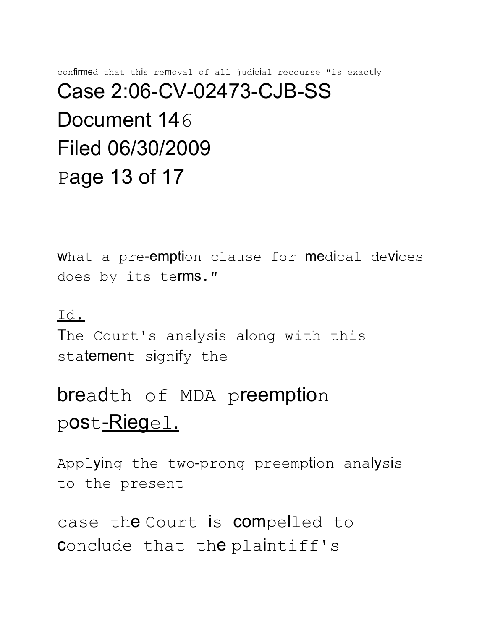# confirmed that this removal of all judicial recourse "is exactly Case 2:06-CV-02473-CJB-SS Document 146 Filed 06/30/2009 Page 13 of 17

what a pre-emption clause for medical devices does by its terms."

#### Id.

The Court's analysis along with this statement signify the

# breadth of MDA preemption post-Riegel.

Applying the two-prong preemption analysis to the present

case the Court is compelled to conclude that the plaintiff's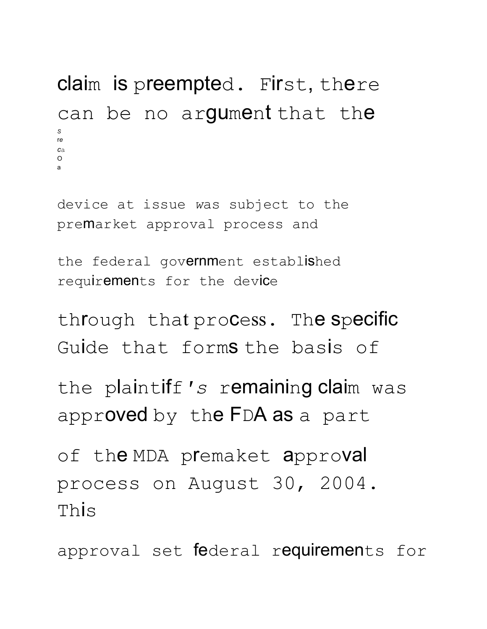```
claim is preempted. First, there
can be no argument that the
S
re
ca
\Omegaa
```
device at issue *w*as subject to the premarket approval process and

```
the federal government established
requirements for the device
```

```
through that process. The specific
Guide that forms the basis of
```

```
the plaintiff's remaining claim was
approved by the FDA as a part
```

```
of the MDA premaket approval
process on August 30, 2004.
This
```
approval set federal requirements for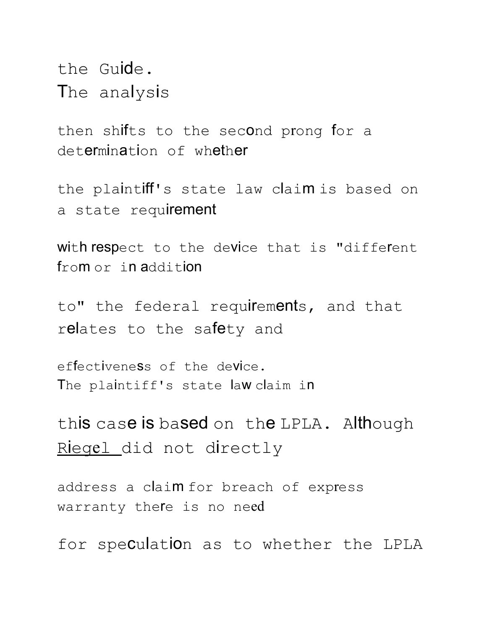the Guide. The analysis

then shifts to the second prong for a determination of whether

the plaintiff's state law claim is based on a state requirement

with respect to the device that is "different from or in addition

to" the federal requirements, and that relates to the safety and

effectiveness of the device. The plaintiff's state law claim in

this case is based on the LPLA. Although Riegel did not directly

address a claim for breach of express warranty the re is no need

for speculation as to whether the LPLA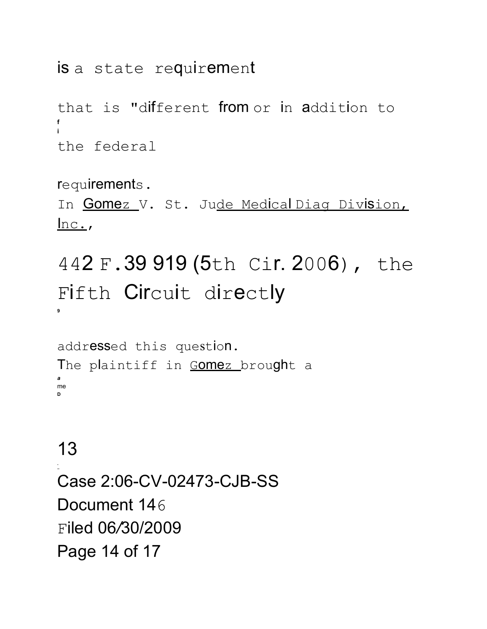### is a state requirement

that is "different from or in addition to the federal

requirements.

In Gomez V. St. Jude Medical Diag Division,  $lnc.$ 

# 442 F.39 919 (5th Cir. 2006), the Fifth Circuit directly

addressed this question. The plaintiff in Gomez brought a me

# 13

Case 2:06-CV-02473-CJB-SS Document 146 Filed 06/30/2009 Page 14 of 17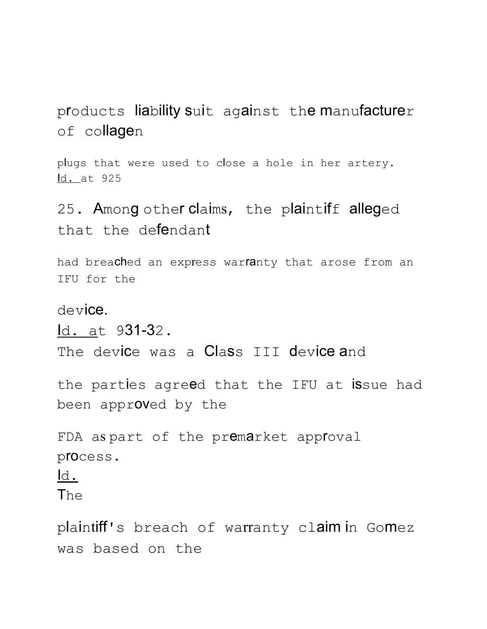products liability suit against the manufacturer of collagen

plugs that were used to close a hole in her artery. Id. at 925

25. Among other claims, the plaintiff alleged that the defendant

had breached an express warranty that arose from an IFU for the

device.

Id. at 931-32.

The device was a Class III device and

the parties agreed that the IFU at issue had been approved by the

FDA as part of the premarket approval process. Id. The

plaintiff's breach of warranty claim in Gomez was based on the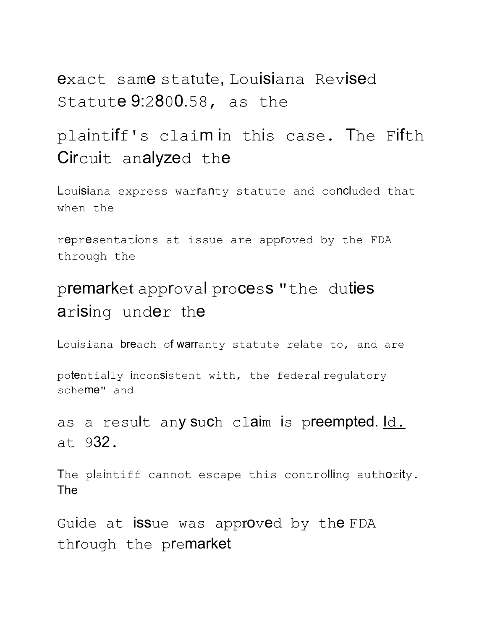exact same statute, Louisiana Revised Statute 9:2800.58, as the

## plaintiff's claim in this case. The Fifth Circuit analyzed the

Louisiana express warfanty statute and concluded that when the

representations at issue are approved by the FDA through the

## premarket approval process "the duties arising under the

Louisiana breach of warranty statute relate to, and are

potentially inconsistent with, the federal regulatory scheme" and

as a result any such claim is preempted. Id. at 932.

The plaintiff cannot escape this controlling authority. The

Guide at issue was approved by the FDA through the premarket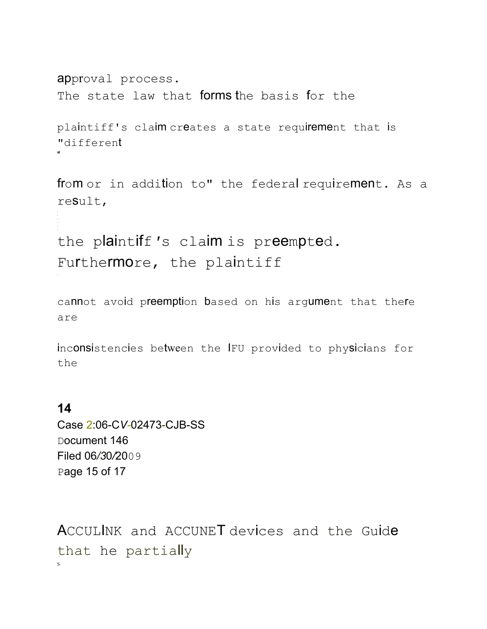```
approval process.
The state law that forms the basis for the
plaintiff's claim creates a state requirement that is
"different
```
from or in addition to" the federal requirement. As a reSult,

the plaintiff's claim is preempted. Furthermore, the plaintiff

cannot avoid preemption based on his argument that there are

inconsistencies between the IFU provided to physicians for the

#### $14$

Case 2:06-CV-02473-CJB-SS Document 146 Filed 06/30/2009 Page 15 of 17

ACCULINK and ACCUNET devices and the Guide that he partially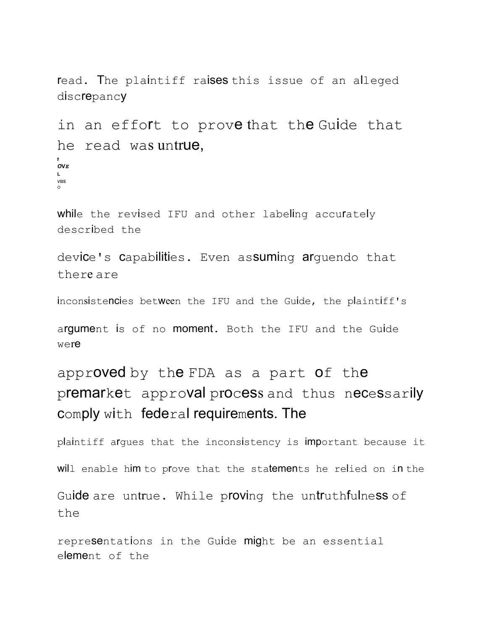read. The plaintiff raises this issue of an alleged discrepancy

in an effort to prove that the Guide that he read was untrue, **f** *O***V***E* **L** *v*as *O*

while the revised IFU and other labeling accurately described the

device's capabilities. Even assuming arquendo that there are

inconsistencies between the IFU and the Guide, the plaintiff's

argument is of no moment. Both the IFU and the Guide were

approved by the FDA as a part of the premarket approval process and thus necessarily comply with federal requirements. The

plaintiff argues that the inconsistency is important because it will enable him to prove that the statements he relied on in the

Guide are untrue. While proving the untruthfulness of the

representations in the Guide might be an essential element of the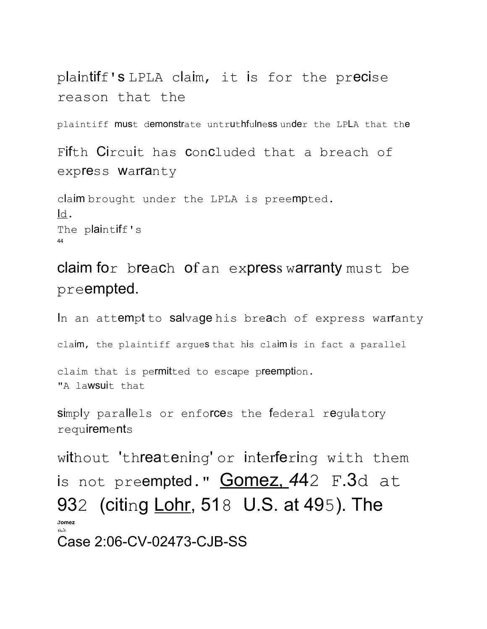```
plaintiff's LPLA claim, it is for the precise
reason that the
```
plaintiff must demonstrate untruthfulness under the LPLA that the

Fifth Circuit has concluded that a breach of express **Warranty** 

claim brought under the LPLA is preempted. Id. The plaintiff's 44

claim for breach of an express warranty must be preempted.

In an attempt to salvage his breach of express warranty

claim, the plaintiff argues that his claim is in fact a parallel

claim that is permitted to escape preemption. "A lawsuit that

simply parallels or enforces the federal regulatory requirements

without 'threatening' or interfering with them is not preempted." Gomez, *4*42 F.3d at 932 (citing Lohr, 518 U.S. at 495). The **Jomez** ܠܛܙ Case 2:06-CV-02473-CJB-SS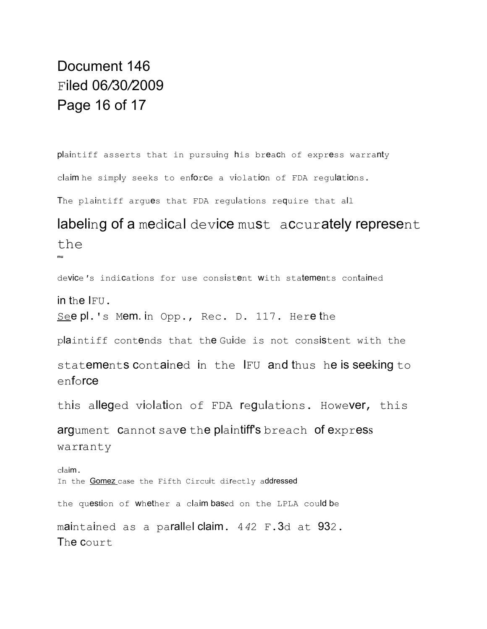### Document 146 Filed 06*/*30*/*2009 Page 16 of 17

plaintiff asserts that in pursuing his breach of express warranty claim he simply seeks to enforce a violation of FDA regulations. The plaintiff argues that FDA regulations require that all

### labeling of a medical device must accurately represent the

**mu**

device*'*s indications for use consistent with statements contained

in the IFU.

See pl.'s Mem. in Opp., Rec. D. 117. Here the

plaintiff contends that the Guide is not consistent with the

statements contained in the IFU and thus he is seeking to enforce

this alleged violation of FDA regulations. However, this

argument cannot save the plaintiff's breach of express warranty

claim. In the **Gomez** case the Fifth Circuit directly addressed the question of whether a claim based on the LPLA could be maintained as a parallel claim. 4*4*2 F.3d at 932. The court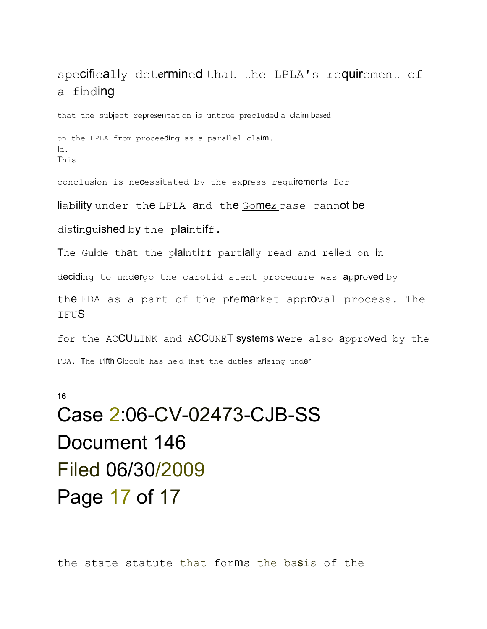#### specifically determined that the LPLA's requirement of a finding

that the subject representation is untrue precluded a claim based

on the LPLA from proceeding as a parallel claim. ld. This

conclusion is necessitated by the express requirements for

liability under the LPLA and the Gomez case cannot be

distinguished by the plaintiff.

The Guide that the plaintiff partially read and relied on in

deciding to undergo the carotid stent procedure was approved by

the FDA as a part of the premarket approval process. The TFUS

for the ACCULINK and ACCUNET systems were also approved by the FDA. The Fifth Circuit has held that the duties arising under

16

# Case 2:06-CV-02473-CJB-SS Document 146 Filed 06/30/2009 Page 17 of 17

the state statute that forms the basis of the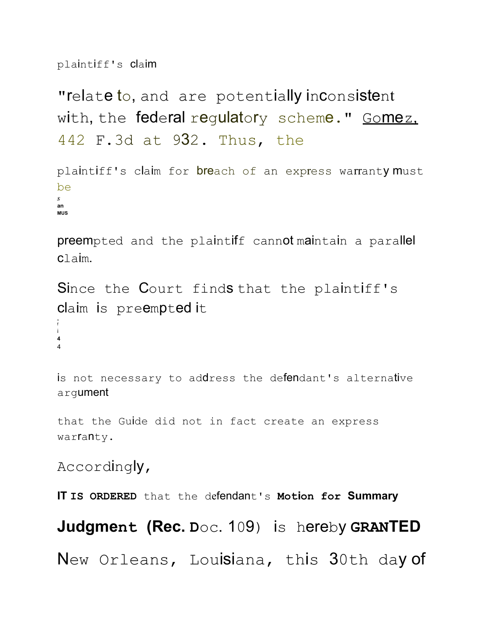plaintiff's claim

"relate to, and are potentially inconsistent with, the federal regulatory scheme." Gomez. 442 F.3d at 932. Thus, the

plaintiff's claim for breach of an express warranty must be *S* **an MUS**

preempted and the plaintiff cannot maintain a parallel claim.

Since the Court finds that the plaintiff's claim is preempted it

f i **4** 4

A

is not necessary to address the defendant's alternative argument

that the Guide did not in fact create an express warfanty.

Accordingly,

**IT IS ORDERED** that the defendant's **Motion for Summary**

**Judgment (Rec. D**oc. 109) is hereby **GRANTED**

New Orleans, Louisiana, this 30th day of